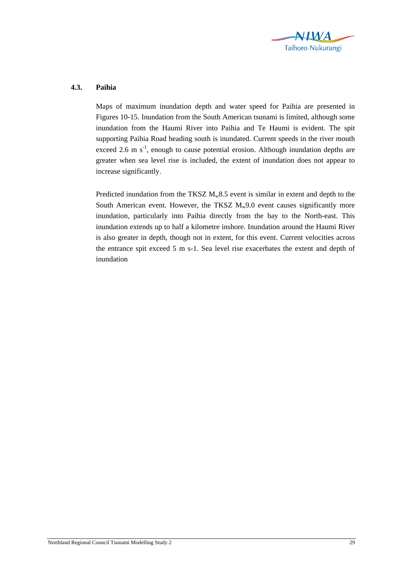

## **4.3. Paihia**

Maps of maximum inundation depth and water speed for Paihia are presented in Figures 10-15. Inundation from the South American tsunami is limited, although some inundation from the Haumi River into Paihia and Te Haumi is evident. The spit supporting Paihia Road heading south is inundated. Current speeds in the river mouth exceed 2.6 m  $s^{-1}$ , enough to cause potential erosion. Although inundation depths are greater when sea level rise is included, the extent of inundation does not appear to increase significantly.

Predicted inundation from the TKSZ  $M_w 8.5$  event is similar in extent and depth to the South American event. However, the TKSZ  $M_w9.0$  event causes significantly more inundation, particularly into Paihia directly from the bay to the North-east. This inundation extends up to half a kilometre inshore. Inundation around the Haumi River is also greater in depth, though not in extent, for this event. Current velocities across the entrance spit exceed 5 m s-1. Sea level rise exacerbates the extent and depth of inundation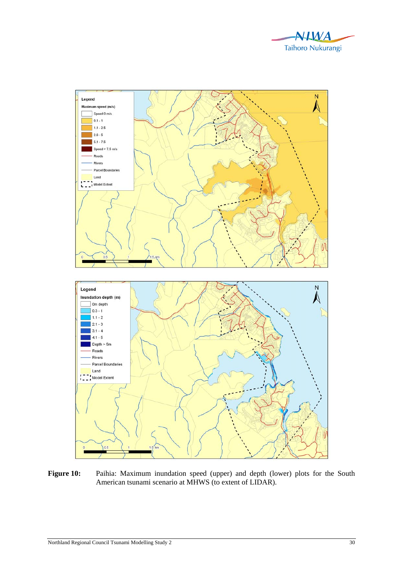



Figure 10: Paihia: Maximum inundation speed (upper) and depth (lower) plots for the South American tsunami scenario at MHWS (to extent of LIDAR).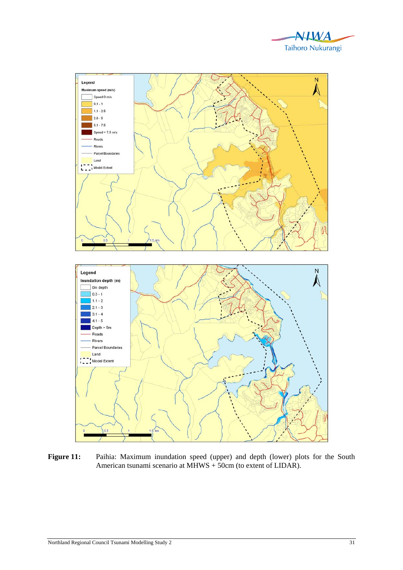



Figure 11: Paihia: Maximum inundation speed (upper) and depth (lower) plots for the South American tsunami scenario at MHWS + 50cm (to extent of LIDAR).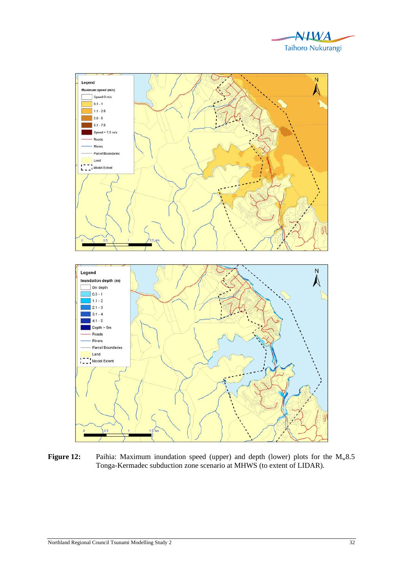



Figure 12: Paihia: Maximum inundation speed (upper) and depth (lower) plots for the M<sub>w</sub>8.5 Tonga-Kermadec subduction zone scenario at MHWS (to extent of LIDAR).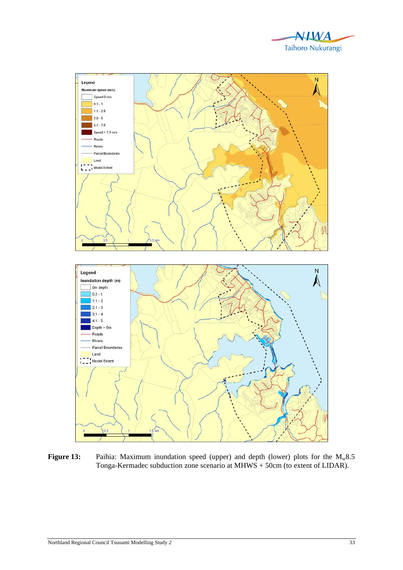



**Figure 13:** Paihia: Maximum inundation speed (upper) and depth (lower) plots for the M<sub>w</sub>8.5 Tonga-Kermadec subduction zone scenario at MHWS + 50cm (to extent of LIDAR).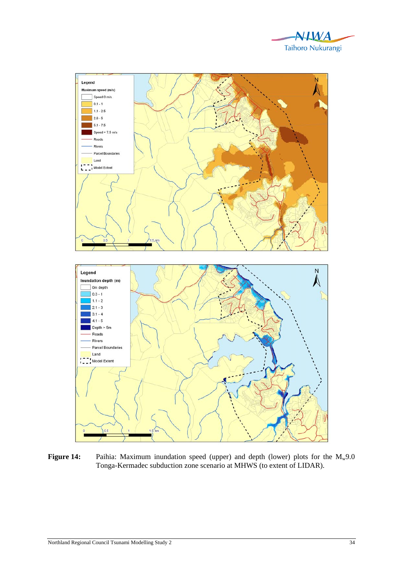



**Figure 14:** Paihia: Maximum inundation speed (upper) and depth (lower) plots for the M<sub>w</sub>9.0 Tonga-Kermadec subduction zone scenario at MHWS (to extent of LIDAR).